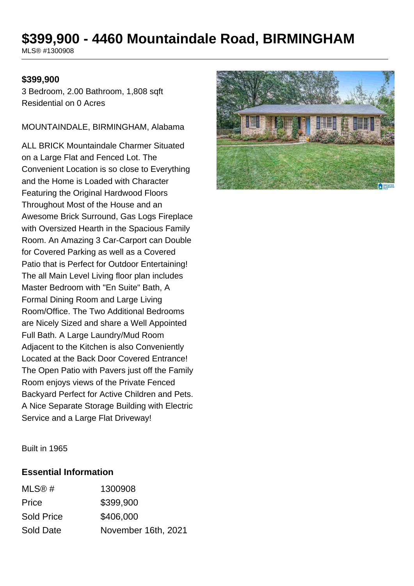# **\$399,900 - 4460 Mountaindale Road, BIRMINGHAM**

MLS® #1300908

#### **\$399,900**

3 Bedroom, 2.00 Bathroom, 1,808 sqft Residential on 0 Acres

MOUNTAINDALE, BIRMINGHAM, Alabama

ALL BRICK Mountaindale Charmer Situated on a Large Flat and Fenced Lot. The Convenient Location is so close to Everything and the Home is Loaded with Character Featuring the Original Hardwood Floors Throughout Most of the House and an Awesome Brick Surround, Gas Logs Fireplace with Oversized Hearth in the Spacious Family Room. An Amazing 3 Car-Carport can Double for Covered Parking as well as a Covered Patio that is Perfect for Outdoor Entertaining! The all Main Level Living floor plan includes Master Bedroom with "En Suite" Bath, A Formal Dining Room and Large Living Room/Office. The Two Additional Bedrooms are Nicely Sized and share a Well Appointed Full Bath. A Large Laundry/Mud Room Adjacent to the Kitchen is also Conveniently Located at the Back Door Covered Entrance! The Open Patio with Pavers just off the Family Room enjoys views of the Private Fenced Backyard Perfect for Active Children and Pets. A Nice Separate Storage Building with Electric Service and a Large Flat Driveway!



Built in 1965

#### **Essential Information**

| MLS@#             | 1300908             |
|-------------------|---------------------|
| Price             | \$399,900           |
| <b>Sold Price</b> | \$406,000           |
| Sold Date         | November 16th, 2021 |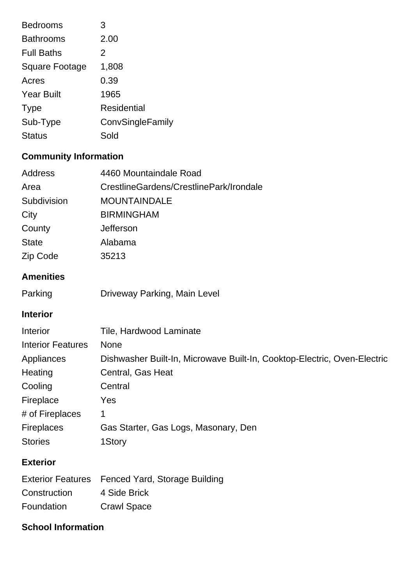| <b>Bedrooms</b>       | 3                  |
|-----------------------|--------------------|
| <b>Bathrooms</b>      | 2.00               |
| <b>Full Baths</b>     | 2                  |
| <b>Square Footage</b> | 1,808              |
| Acres                 | 0.39               |
| <b>Year Built</b>     | 1965               |
| <b>Type</b>           | <b>Residential</b> |
| Sub-Type              | ConvSingleFamily   |
| Status                | Sold               |

### **Community Information**

| <b>Address</b>           | 4460 Mountaindale Road                                                   |
|--------------------------|--------------------------------------------------------------------------|
| Area                     | CrestlineGardens/CrestlinePark/Irondale                                  |
| Subdivision              | <b>MOUNTAINDALE</b>                                                      |
| City                     | <b>BIRMINGHAM</b>                                                        |
| County                   | <b>Jefferson</b>                                                         |
| <b>State</b>             | Alabama                                                                  |
| Zip Code                 | 35213                                                                    |
| <b>Amenities</b>         |                                                                          |
| Parking                  | Driveway Parking, Main Level                                             |
| <b>Interior</b>          |                                                                          |
| Interior                 | Tile, Hardwood Laminate                                                  |
| <b>Interior Features</b> | <b>None</b>                                                              |
| Appliances               | Dishwasher Built-In, Microwave Built-In, Cooktop-Electric, Oven-Electric |
| Heating                  | Central, Gas Heat                                                        |
| Cooling                  | Central                                                                  |
| Fireplace                | Yes                                                                      |
| # of Fireplaces          | 1                                                                        |
| Fireplaces               | Gas Starter, Gas Logs, Masonary, Den                                     |
| <b>Stories</b>           | 1Story                                                                   |
| <b>Exterior</b>          |                                                                          |
| <b>Exterior Features</b> | <b>Fenced Yard, Storage Building</b>                                     |

|              | Exterior Features - Fenced Yard, Storage Building |
|--------------|---------------------------------------------------|
| Construction | 4 Side Brick                                      |
| Foundation   | <b>Crawl Space</b>                                |

## **School Information**